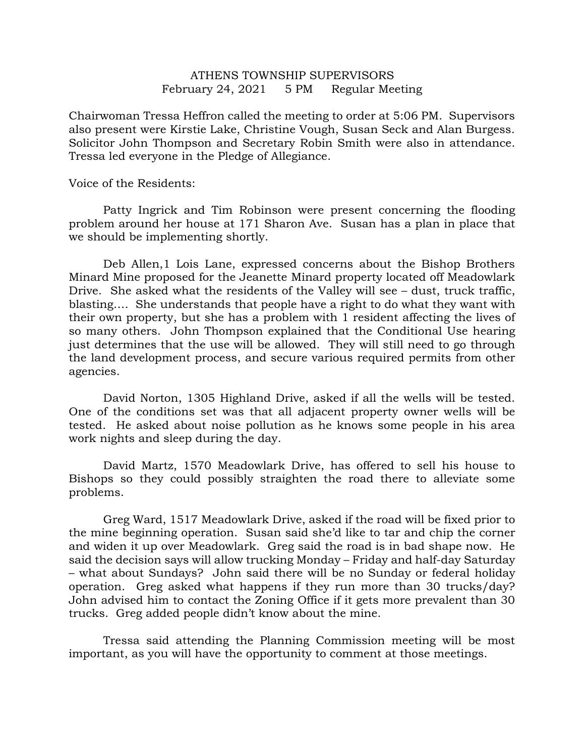## ATHENS TOWNSHIP SUPERVISORS February 24, 2021 5 PM Regular Meeting

Chairwoman Tressa Heffron called the meeting to order at 5:06 PM. Supervisors also present were Kirstie Lake, Christine Vough, Susan Seck and Alan Burgess. Solicitor John Thompson and Secretary Robin Smith were also in attendance. Tressa led everyone in the Pledge of Allegiance.

Voice of the Residents:

 Patty Ingrick and Tim Robinson were present concerning the flooding problem around her house at 171 Sharon Ave. Susan has a plan in place that we should be implementing shortly.

 Deb Allen,1 Lois Lane, expressed concerns about the Bishop Brothers Minard Mine proposed for the Jeanette Minard property located off Meadowlark Drive. She asked what the residents of the Valley will see – dust, truck traffic, blasting…. She understands that people have a right to do what they want with their own property, but she has a problem with 1 resident affecting the lives of so many others. John Thompson explained that the Conditional Use hearing just determines that the use will be allowed. They will still need to go through the land development process, and secure various required permits from other agencies.

 David Norton, 1305 Highland Drive, asked if all the wells will be tested. One of the conditions set was that all adjacent property owner wells will be tested. He asked about noise pollution as he knows some people in his area work nights and sleep during the day.

 David Martz, 1570 Meadowlark Drive, has offered to sell his house to Bishops so they could possibly straighten the road there to alleviate some problems.

 Greg Ward, 1517 Meadowlark Drive, asked if the road will be fixed prior to the mine beginning operation. Susan said she'd like to tar and chip the corner and widen it up over Meadowlark. Greg said the road is in bad shape now. He said the decision says will allow trucking Monday – Friday and half-day Saturday – what about Sundays? John said there will be no Sunday or federal holiday operation. Greg asked what happens if they run more than 30 trucks/day? John advised him to contact the Zoning Office if it gets more prevalent than 30 trucks. Greg added people didn't know about the mine.

 Tressa said attending the Planning Commission meeting will be most important, as you will have the opportunity to comment at those meetings.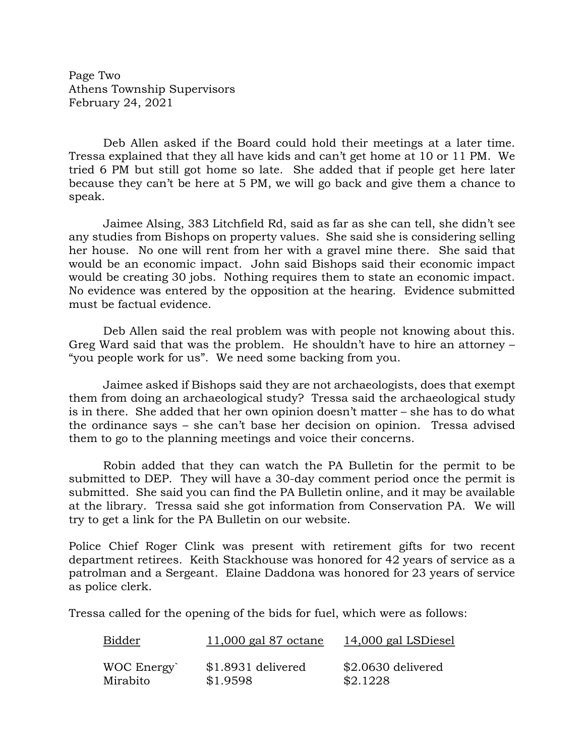Page Two Athens Township Supervisors February 24, 2021

 Deb Allen asked if the Board could hold their meetings at a later time. Tressa explained that they all have kids and can't get home at 10 or 11 PM. We tried 6 PM but still got home so late. She added that if people get here later because they can't be here at 5 PM, we will go back and give them a chance to speak.

 Jaimee Alsing, 383 Litchfield Rd, said as far as she can tell, she didn't see any studies from Bishops on property values. She said she is considering selling her house. No one will rent from her with a gravel mine there. She said that would be an economic impact. John said Bishops said their economic impact would be creating 30 jobs. Nothing requires them to state an economic impact. No evidence was entered by the opposition at the hearing. Evidence submitted must be factual evidence.

 Deb Allen said the real problem was with people not knowing about this. Greg Ward said that was the problem. He shouldn't have to hire an attorney – "you people work for us". We need some backing from you.

 Jaimee asked if Bishops said they are not archaeologists, does that exempt them from doing an archaeological study? Tressa said the archaeological study is in there. She added that her own opinion doesn't matter – she has to do what the ordinance says – she can't base her decision on opinion. Tressa advised them to go to the planning meetings and voice their concerns.

 Robin added that they can watch the PA Bulletin for the permit to be submitted to DEP. They will have a 30-day comment period once the permit is submitted. She said you can find the PA Bulletin online, and it may be available at the library. Tressa said she got information from Conservation PA. We will try to get a link for the PA Bulletin on our website.

Police Chief Roger Clink was present with retirement gifts for two recent department retirees. Keith Stackhouse was honored for 42 years of service as a patrolman and a Sergeant. Elaine Daddona was honored for 23 years of service as police clerk.

Tressa called for the opening of the bids for fuel, which were as follows:

| Bidder     | $11,000$ gal 87 octane | 14,000 gal LSDiesel |
|------------|------------------------|---------------------|
| WOC Energy | \$1.8931 delivered     | \$2.0630 delivered  |
| Mirabito   | \$1.9598               | \$2.1228            |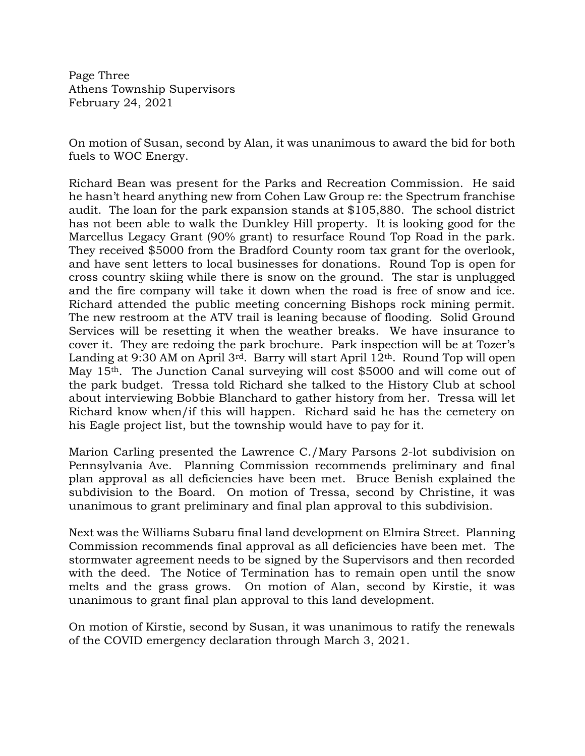Page Three Athens Township Supervisors February 24, 2021

On motion of Susan, second by Alan, it was unanimous to award the bid for both fuels to WOC Energy.

Richard Bean was present for the Parks and Recreation Commission. He said he hasn't heard anything new from Cohen Law Group re: the Spectrum franchise audit. The loan for the park expansion stands at \$105,880. The school district has not been able to walk the Dunkley Hill property. It is looking good for the Marcellus Legacy Grant (90% grant) to resurface Round Top Road in the park. They received \$5000 from the Bradford County room tax grant for the overlook, and have sent letters to local businesses for donations. Round Top is open for cross country skiing while there is snow on the ground. The star is unplugged and the fire company will take it down when the road is free of snow and ice. Richard attended the public meeting concerning Bishops rock mining permit. The new restroom at the ATV trail is leaning because of flooding. Solid Ground Services will be resetting it when the weather breaks. We have insurance to cover it. They are redoing the park brochure. Park inspection will be at Tozer's Landing at 9:30 AM on April 3rd. Barry will start April 12th. Round Top will open May 15<sup>th</sup>. The Junction Canal surveying will cost \$5000 and will come out of the park budget. Tressa told Richard she talked to the History Club at school about interviewing Bobbie Blanchard to gather history from her. Tressa will let Richard know when/if this will happen. Richard said he has the cemetery on his Eagle project list, but the township would have to pay for it.

Marion Carling presented the Lawrence C./Mary Parsons 2-lot subdivision on Pennsylvania Ave. Planning Commission recommends preliminary and final plan approval as all deficiencies have been met. Bruce Benish explained the subdivision to the Board. On motion of Tressa, second by Christine, it was unanimous to grant preliminary and final plan approval to this subdivision.

Next was the Williams Subaru final land development on Elmira Street. Planning Commission recommends final approval as all deficiencies have been met. The stormwater agreement needs to be signed by the Supervisors and then recorded with the deed. The Notice of Termination has to remain open until the snow melts and the grass grows. On motion of Alan, second by Kirstie, it was unanimous to grant final plan approval to this land development.

On motion of Kirstie, second by Susan, it was unanimous to ratify the renewals of the COVID emergency declaration through March 3, 2021.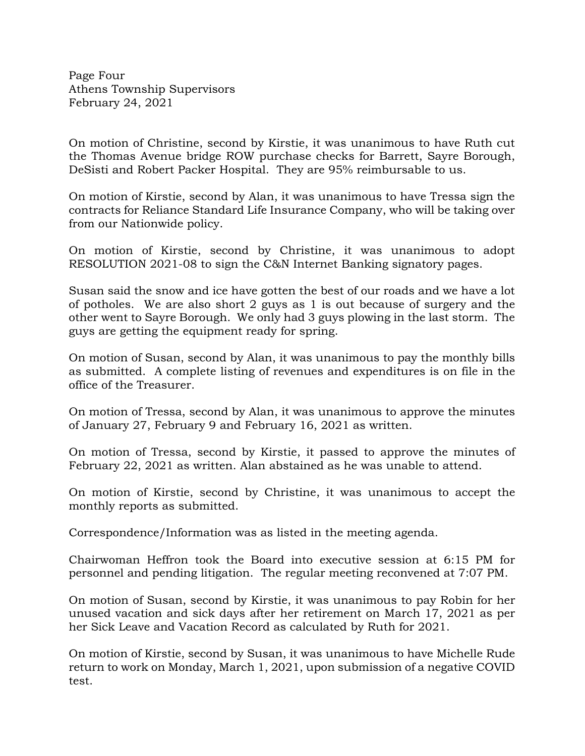Page Four Athens Township Supervisors February 24, 2021

On motion of Christine, second by Kirstie, it was unanimous to have Ruth cut the Thomas Avenue bridge ROW purchase checks for Barrett, Sayre Borough, DeSisti and Robert Packer Hospital. They are 95% reimbursable to us.

On motion of Kirstie, second by Alan, it was unanimous to have Tressa sign the contracts for Reliance Standard Life Insurance Company, who will be taking over from our Nationwide policy.

On motion of Kirstie, second by Christine, it was unanimous to adopt RESOLUTION 2021-08 to sign the C&N Internet Banking signatory pages.

Susan said the snow and ice have gotten the best of our roads and we have a lot of potholes. We are also short 2 guys as 1 is out because of surgery and the other went to Sayre Borough. We only had 3 guys plowing in the last storm. The guys are getting the equipment ready for spring.

On motion of Susan, second by Alan, it was unanimous to pay the monthly bills as submitted. A complete listing of revenues and expenditures is on file in the office of the Treasurer.

On motion of Tressa, second by Alan, it was unanimous to approve the minutes of January 27, February 9 and February 16, 2021 as written.

On motion of Tressa, second by Kirstie, it passed to approve the minutes of February 22, 2021 as written. Alan abstained as he was unable to attend.

On motion of Kirstie, second by Christine, it was unanimous to accept the monthly reports as submitted.

Correspondence/Information was as listed in the meeting agenda.

Chairwoman Heffron took the Board into executive session at 6:15 PM for personnel and pending litigation. The regular meeting reconvened at 7:07 PM.

On motion of Susan, second by Kirstie, it was unanimous to pay Robin for her unused vacation and sick days after her retirement on March 17, 2021 as per her Sick Leave and Vacation Record as calculated by Ruth for 2021.

On motion of Kirstie, second by Susan, it was unanimous to have Michelle Rude return to work on Monday, March 1, 2021, upon submission of a negative COVID test.